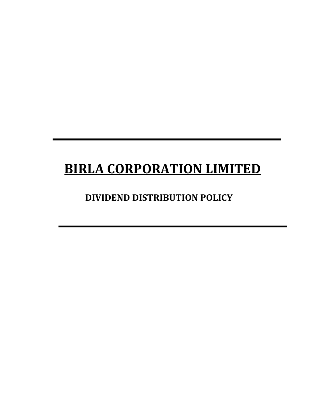# **BIRLA CORPORATION LIMITED**

# **DIVIDEND DISTRIBUTION POLICY**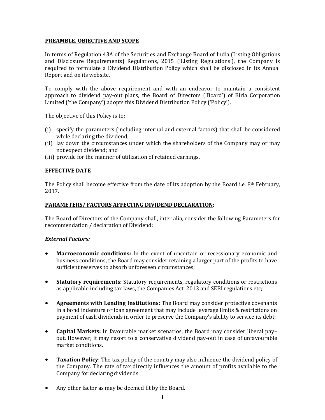# **PREAMBLE, OBJECTIVE AND SCOPE**

In terms of Regulation 43A of the Securities and Exchange Board of India (Listing Obligations and Disclosure Requirements) Regulations, 2015 ('Listing Regulations'), the Company is required to formulate a Dividend Distribution Policy which shall be disclosed in its Annual Report and on its website.

To comply with the above requirement and with an endeavor to maintain a consistent approach to dividend pay-out plans, the Board of Directors ('Board') of Birla Corporation Limited ('the Company') adopts this Dividend Distribution Policy ('Policy').

The objective of this Policy is to:

- (i) specify the parameters (including internal and external factors) that shall be considered while declaring the dividend;
- (ii) lay down the circumstances under which the shareholders of the Company may or may not expect dividend; and
- (iii) provide for the manner of utilization of retained earnings.

#### **EFFECTIVE DATE**

The Policy shall become effective from the date of its adoption by the Board i.e.  $8<sup>th</sup>$  February, 2017.

#### **PARAMETERS/ FACTORS AFFECTING DIVIDEND DECLARATION:**

The Board of Directors of the Company shall, inter alia, consider the following Parameters for recommendation / declaration of Dividend:

#### *External Factors:*

- **Macroeconomic conditions:** In the event of uncertain or recessionary economic and business conditions, the Board may consider retaining a larger part of the profits to have sufficient reserves to absorb unforeseen circumstances;
- **Statutory requirements:** Statutory requirements, regulatory conditions or restrictions as applicable including tax laws, the Companies Act, 2013 and SEBI regulations etc;
- **Agreements with Lending Institutions:** The Board may consider protective covenants in a bond indenture or loan agreement that may include leverage limits & restrictions on payment of cash dividends in order to preserve the Company's ability to service its debt;
- **Capital Markets:** In favourable market scenarios, the Board may consider liberal pay– out. However, it may resort to a conservative dividend pay-out in case of unfavourable market conditions.
- **Taxation Policy**: The tax policy of the country may also influence the dividend policy of the Company. The rate of tax directly influences the amount of profits available to the Company for declaring dividends.
- Any other factor as may be deemed fit by the Board.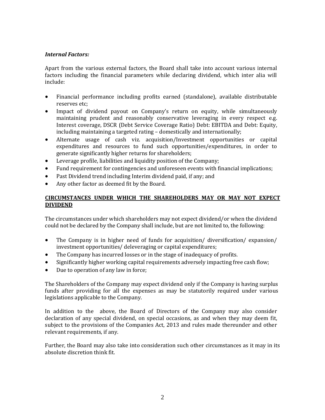## *Internal Factors:*

Apart from the various external factors, the Board shall take into account various internal factors including the financial parameters while declaring dividend, which inter alia will include:

- Financial performance including profits earned (standalone), available distributable reserves etc;
- Impact of dividend payout on Company's return on equity, while simultaneously maintaining prudent and reasonably conservative leveraging in every respect e.g. Interest coverage, DSCR (Debt Service Coverage Ratio) Debt: EBITDA and Debt: Equity, including maintaining a targeted rating – domestically and internationally;
- Alternate usage of cash viz. acquisition/Investment opportunities or capital expenditures and resources to fund such opportunities/expenditures, in order to generate significantly higher returns for shareholders;
- Leverage profile, liabilities and liquidity position of the Company;
- Fund requirement for contingencies and unforeseen events with financial implications;
- Past Dividend trend including Interim dividend paid, if any; and
- Any other factor as deemed fit by the Board.

# **CIRCUMSTANCES UNDER WHICH THE SHAREHOLDERS MAY OR MAY NOT EXPECT DIVIDEND**

The circumstances under which shareholders may not expect dividend/or when the dividend could not be declared by the Company shall include, but are not limited to, the following:

- The Company is in higher need of funds for acquisition/ diversification/ expansion/ investment opportunities/ deleveraging or capital expenditures;
- The Company has incurred losses or in the stage of inadequacy of profits.
- Significantly higher working capital requirements adversely impacting free cash flow;
- Due to operation of any law in force;

The Shareholders of the Company may expect dividend only if the Company is having surplus funds after providing for all the expenses as may be statutorily required under various legislations applicable to the Company.

In addition to the above, the Board of Directors of the Company may also consider declaration of any special dividend, on special occasions, as and when they may deem fit, subject to the provisions of the Companies Act, 2013 and rules made thereunder and other relevant requirements, if any.

Further, the Board may also take into consideration such other circumstances as it may in its absolute discretion think fit.